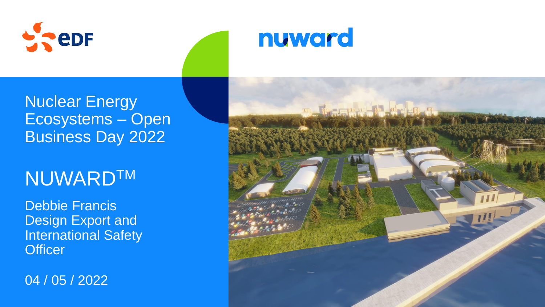

## Nuclear Energy Ecosystems – Open Business Day 2022

## **NUWARDTM**

Debbie Francis Design Export and International Safety **Officer** 

04 / 05 / 2022



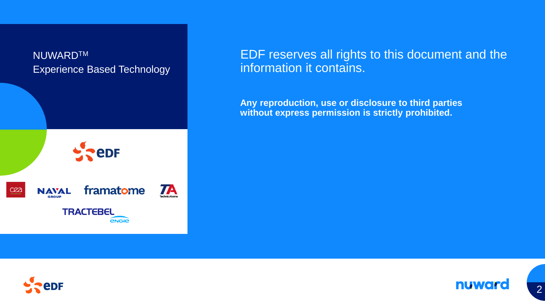

#### EDF reserves all rights to this document and the information it contains.

**Any reproduction, use or disclosure to third parties without express permission is strictly prohibited.** 





2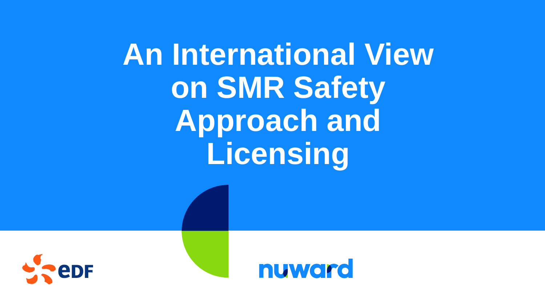**An International View on SMR Safety Approach and Licensing**



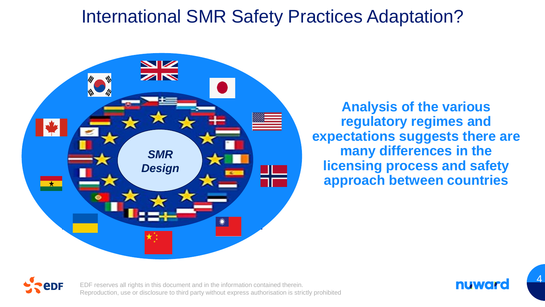### International SMR Safety Practices Adaptation?



**Analysis of the various regulatory regimes and expectations suggests there are many differences in the licensing process and safety approach between countries**



EDF reserves all rights in this document and in the information contained therein. Reproduction, use or disclosure to third party without express authorisation is strictly prohibited



4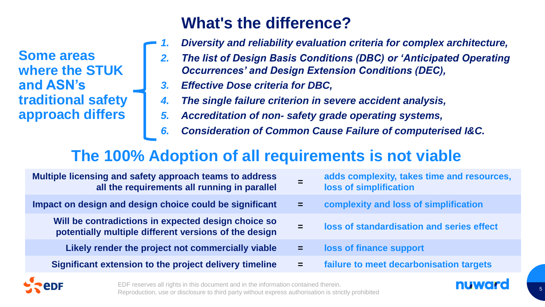**Some areas where the STUK and ASN's traditional safety approach differs** 

#### **What's the difference?**

- *1. Diversity and reliability evaluation criteria for complex architecture,*
- *2. The list of Design Basis Conditions (DBC) or 'Anticipated Operating Occurrences' and Design Extension Conditions (DEC),*
- *3. Effective Dose criteria for DBC,*
- *4. The single failure criterion in severe accident analysis,*
- *5. Accreditation of non- safety grade operating systems,*
- *6. Consideration of Common Cause Failure of computerised I&C.*

#### **The 100% Adoption of all requirements is not viable**

| Multiple licensing and safety approach teams to address<br>all the requirements all running in parallel      | =   | adds complexity, takes time and resources,<br>loss of simplification |
|--------------------------------------------------------------------------------------------------------------|-----|----------------------------------------------------------------------|
| Impact on design and design choice could be significant                                                      | $=$ | complexity and loss of simplification                                |
| Will be contradictions in expected design choice so<br>potentially multiple different versions of the design |     | loss of standardisation and series effect                            |
| Likely render the project not commercially viable                                                            | $=$ | loss of finance support                                              |
| Significant extension to the project delivery timeline                                                       | $=$ | failure to meet decarbonisation targets                              |
|                                                                                                              |     |                                                                      |

EDF reserves all rights in this document and in the information contained therein. Reproduction, use or disclosure to third party without express authorisation is strictly prohibited

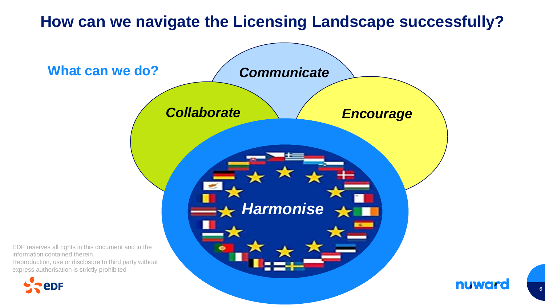#### **How can we navigate the Licensing Landscape successfully?**



6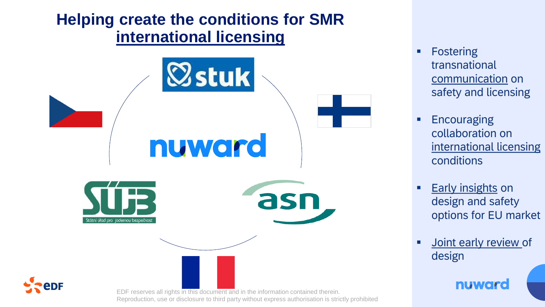#### **Helping create the conditions for SMR international licensing**



- Fostering transnational communication on safety and licensing
- **Encouraging** collaboration on international licensing conditions
- **Early insights on** design and safety options for EU market
- **E** Joint early review of design

nuward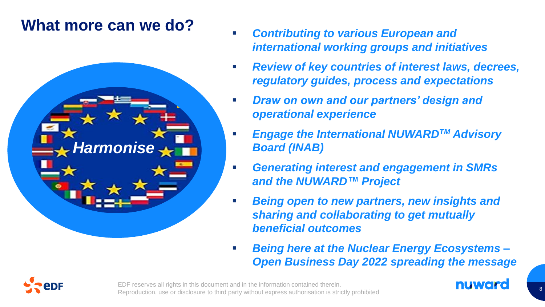#### **What more can we do?**



- **Contributing to various European and** *international working groups and initiatives*
- *Review of key countries of interest laws, decrees, regulatory guides, process and expectations*
- **Draw on own and our partners' design and** *operational experience*
- **Engage the International NUWARD<sup>™</sup> Advisory** *Board (INAB)*
- *Generating interest and engagement in SMRs and the NUWARD™ Project*
- **Being open to new partners, new insights and** *sharing and collaborating to get mutually beneficial outcomes*
- *Being here at the Nuclear Energy Ecosystems – Open Business Day 2022 spreading the message*



EDF reserves all rights in this document and in the information contained therein. Reproduction, use or disclosure to third party without express authorisation is strictly prohibited